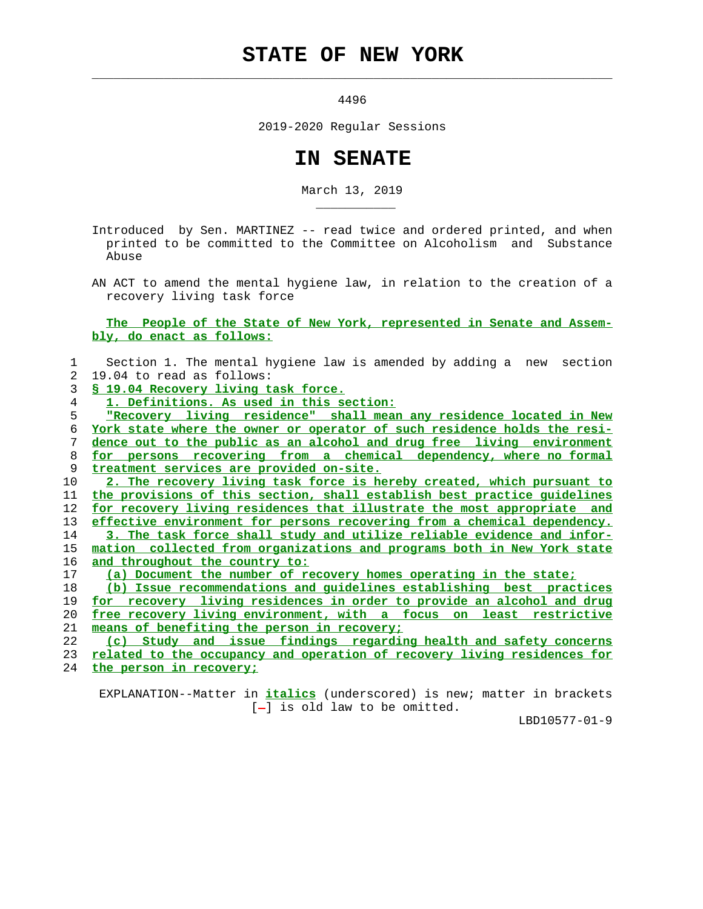## **STATE OF NEW YORK**

 $\mathcal{L}_\text{max} = \frac{1}{2} \sum_{i=1}^{n} \frac{1}{2} \sum_{i=1}^{n} \frac{1}{2} \sum_{i=1}^{n} \frac{1}{2} \sum_{i=1}^{n} \frac{1}{2} \sum_{i=1}^{n} \frac{1}{2} \sum_{i=1}^{n} \frac{1}{2} \sum_{i=1}^{n} \frac{1}{2} \sum_{i=1}^{n} \frac{1}{2} \sum_{i=1}^{n} \frac{1}{2} \sum_{i=1}^{n} \frac{1}{2} \sum_{i=1}^{n} \frac{1}{2} \sum_{i=1}^{n} \frac{1$ 

\_\_\_\_\_\_\_\_\_\_\_

4496

2019-2020 Regular Sessions

## **IN SENATE**

March 13, 2019

 Introduced by Sen. MARTINEZ -- read twice and ordered printed, and when printed to be committed to the Committee on Alcoholism and Substance Abuse

 AN ACT to amend the mental hygiene law, in relation to the creation of a recovery living task force

 **The People of the State of New York, represented in Senate and Assem bly, do enact as follows:**

|                | Section 1. The mental hygiene law is amended by adding a new section          |
|----------------|-------------------------------------------------------------------------------|
| $\mathfrak{D}$ | 19.04 to read as follows:                                                     |
| 3              | § 19.04 Recovery living task force.                                           |
| 4              | 1. Definitions. As used in this section:                                      |
| 5              | "Recovery living residence" shall mean any residence located in New           |
| 6              | York state where the owner or operator of such residence holds the resi-      |
| 7              | dence out to the public as an alcohol and drug free living environment        |
| 8              | for persons recovering from a chemical dependency, where no formal            |
| 9              | treatment services are provided on-site.                                      |
| 10             | 2. The recovery living task force is hereby created, which pursuant to        |
| 11             | the provisions of this section, shall establish best practice quidelines      |
| 12             | for recovery living residences that illustrate the most appropriate and       |
| 13             | effective environment for persons recovering from a chemical dependency.      |
| 14             | 3. The task force shall study and utilize reliable evidence and infor-        |
| 15             | mation collected from organizations and programs both in New York state       |
| 16             | and throughout the country to:                                                |
| 17             | (a) Document the number of recovery homes operating in the state;             |
| 18             | (b) Issue recommendations and quidelines establishing best practices          |
| 19             | <u>for recovery living residences in order to provide an alcohol and drug</u> |
| 20             | free recovery living environment, with a focus on least restrictive           |
| 21             | means of benefiting the person in recovery;                                   |
| າ າ            | a) Chudre pha issue findings reception bealth and safety sensorge             |

|  |  | (c) Study and issue findings regarding health and safety concerns           |  |  |
|--|--|-----------------------------------------------------------------------------|--|--|
|  |  | 23 related to the occupancy and operation of recovery living residences for |  |  |

24 **the person in recovery;**

 EXPLANATION--Matter in **italics** (underscored) is new; matter in brackets  $[-]$  is old law to be omitted.

LBD10577-01-9